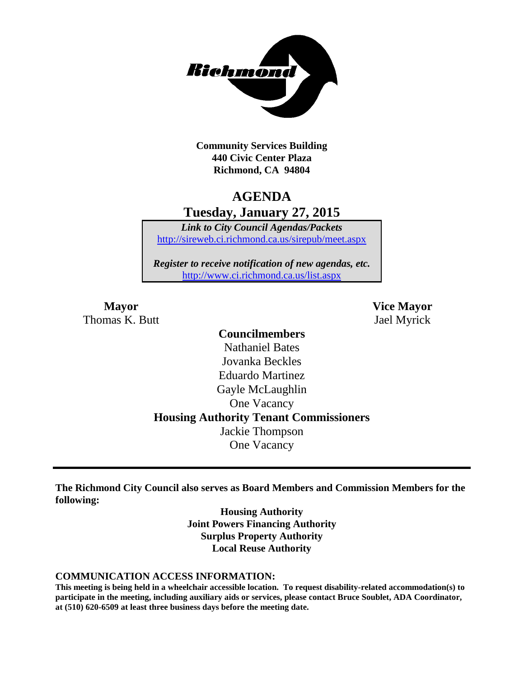

**Community Services Building 440 Civic Center Plaza Richmond, CA 94804**

## **AGENDA Tuesday, January 27, 2015**

*Link to City Council Agendas/Packets* <http://sireweb.ci.richmond.ca.us/sirepub/meet.aspx>

*Register to receive notification of new agendas, etc.* <http://www.ci.richmond.ca.us/list.aspx>

Thomas K. Butt Jael Myrick

**Mayor Vice Mayor**

### **Councilmembers** Nathaniel Bates Jovanka Beckles Eduardo Martinez Gayle McLaughlin One Vacancy **Housing Authority Tenant Commissioners** Jackie Thompson One Vacancy

**The Richmond City Council also serves as Board Members and Commission Members for the following:**

> **Housing Authority Joint Powers Financing Authority Surplus Property Authority Local Reuse Authority**

#### **COMMUNICATION ACCESS INFORMATION:**

**This meeting is being held in a wheelchair accessible location. To request disability-related accommodation(s) to participate in the meeting, including auxiliary aids or services, please contact Bruce Soublet, ADA Coordinator, at (510) 620-6509 at least three business days before the meeting date.**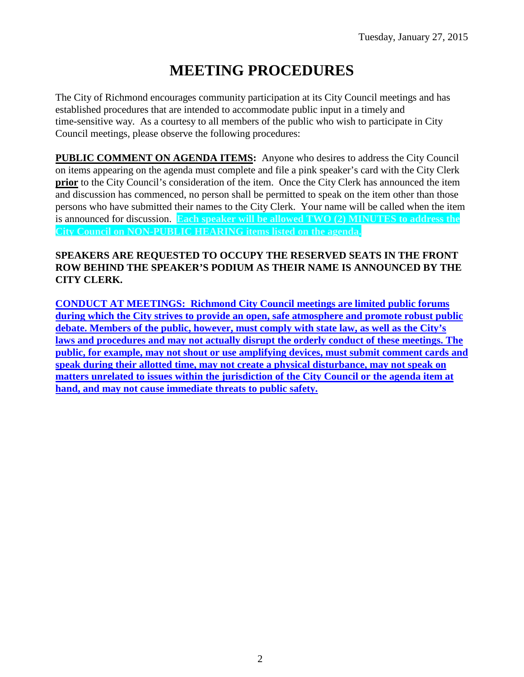# **MEETING PROCEDURES**

The City of Richmond encourages community participation at its City Council meetings and has established procedures that are intended to accommodate public input in a timely and time-sensitive way. As a courtesy to all members of the public who wish to participate in City Council meetings, please observe the following procedures:

**PUBLIC COMMENT ON AGENDA ITEMS:** Anyone who desires to address the City Council on items appearing on the agenda must complete and file a pink speaker's card with the City Clerk **prior** to the City Council's consideration of the item. Once the City Clerk has announced the item and discussion has commenced, no person shall be permitted to speak on the item other than those persons who have submitted their names to the City Clerk. Your name will be called when the item is announced for discussion. **Each speaker will be allowed TWO (2) MINUTES to address the City Council on NON-PUBLIC HEARING items listed on the agenda.**

#### **SPEAKERS ARE REQUESTED TO OCCUPY THE RESERVED SEATS IN THE FRONT ROW BEHIND THE SPEAKER'S PODIUM AS THEIR NAME IS ANNOUNCED BY THE CITY CLERK.**

**CONDUCT AT MEETINGS: Richmond City Council meetings are limited public forums during which the City strives to provide an open, safe atmosphere and promote robust public debate. Members of the public, however, must comply with state law, as well as the City's laws and procedures and may not actually disrupt the orderly conduct of these meetings. The public, for example, may not shout or use amplifying devices, must submit comment cards and speak during their allotted time, may not create a physical disturbance, may not speak on matters unrelated to issues within the jurisdiction of the City Council or the agenda item at hand, and may not cause immediate threats to public safety.**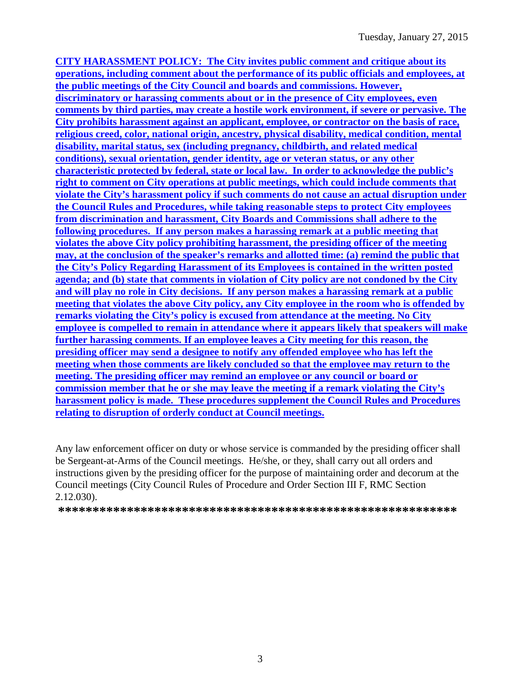**CITY HARASSMENT POLICY: The City invites public comment and critique about its operations, including comment about the performance of its public officials and employees, at the public meetings of the City Council and boards and commissions. However, discriminatory or harassing comments about or in the presence of City employees, even comments by third parties, may create a hostile work environment, if severe or pervasive. The City prohibits harassment against an applicant, employee, or contractor on the basis of race, religious creed, color, national origin, ancestry, physical disability, medical condition, mental disability, marital status, sex (including pregnancy, childbirth, and related medical conditions), sexual orientation, gender identity, age or veteran status, or any other characteristic protected by federal, state or local law. In order to acknowledge the public's right to comment on City operations at public meetings, which could include comments that violate the City's harassment policy if such comments do not cause an actual disruption under the Council Rules and Procedures, while taking reasonable steps to protect City employees from discrimination and harassment, City Boards and Commissions shall adhere to the following procedures. If any person makes a harassing remark at a public meeting that violates the above City policy prohibiting harassment, the presiding officer of the meeting may, at the conclusion of the speaker's remarks and allotted time: (a) remind the public that the City's Policy Regarding Harassment of its Employees is contained in the written posted agenda; and (b) state that comments in violation of City policy are not condoned by the City and will play no role in City decisions. If any person makes a harassing remark at a public meeting that violates the above City policy, any City employee in the room who is offended by remarks violating the City's policy is excused from attendance at the meeting. No City employee is compelled to remain in attendance where it appears likely that speakers will make further harassing comments. If an employee leaves a City meeting for this reason, the presiding officer may send a designee to notify any offended employee who has left the meeting when those comments are likely concluded so that the employee may return to the meeting. The presiding officer may remind an employee or any council or board or commission member that he or she may leave the meeting if a remark violating the City's harassment policy is made. These procedures supplement the Council Rules and Procedures relating to disruption of orderly conduct at Council meetings.**

Any law enforcement officer on duty or whose service is commanded by the presiding officer shall be Sergeant-at-Arms of the Council meetings. He/she, or they, shall carry out all orders and instructions given by the presiding officer for the purpose of maintaining order and decorum at the Council meetings (City Council Rules of Procedure and Order Section III F, RMC Section 2.12.030).

**\*\*\*\*\*\*\*\*\*\*\*\*\*\*\*\*\*\*\*\*\*\*\*\*\*\*\*\*\*\*\*\*\*\*\*\*\*\*\*\*\*\*\*\*\*\*\*\*\*\*\*\*\*\*\*\*\*\***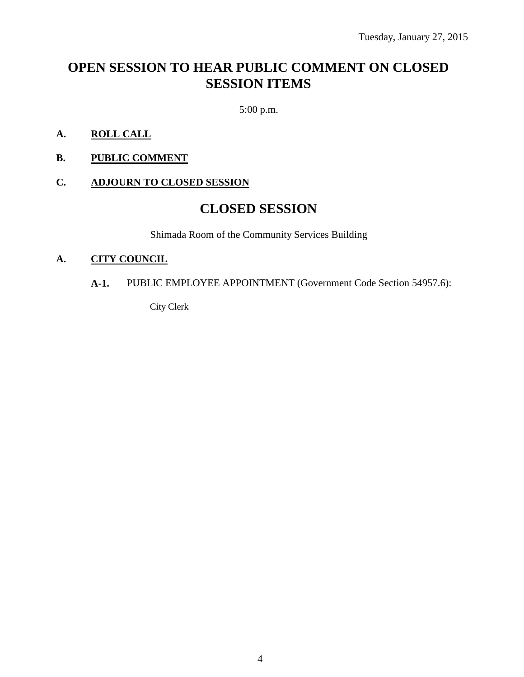## **OPEN SESSION TO HEAR PUBLIC COMMENT ON CLOSED SESSION ITEMS**

5:00 p.m.

- **A. ROLL CALL**
- **B. PUBLIC COMMENT**

### **C. ADJOURN TO CLOSED SESSION**

### **CLOSED SESSION**

Shimada Room of the Community Services Building

#### **A. CITY COUNCIL**

#### **A-1.** PUBLIC EMPLOYEE APPOINTMENT (Government Code Section 54957.6):

City Clerk